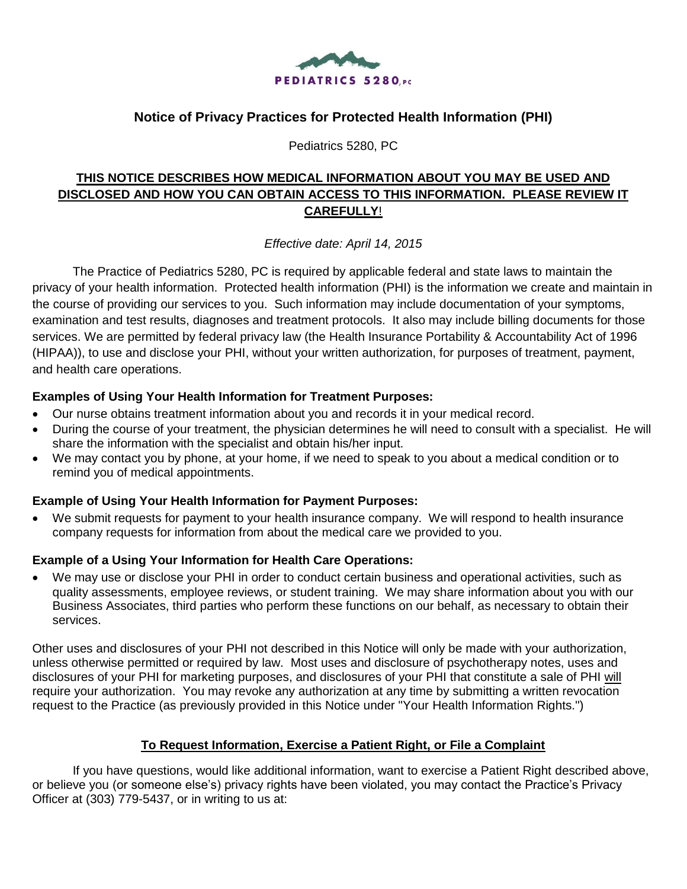

# **Notice of Privacy Practices for Protected Health Information (PHI)**

Pediatrics 5280, PC

# **THIS NOTICE DESCRIBES HOW MEDICAL INFORMATION ABOUT YOU MAY BE USED AND DISCLOSED AND HOW YOU CAN OBTAIN ACCESS TO THIS INFORMATION. PLEASE REVIEW IT CAREFULLY**!

*Effective date: April 14, 2015*

The Practice of Pediatrics 5280, PC is required by applicable federal and state laws to maintain the privacy of your health information. Protected health information (PHI) is the information we create and maintain in the course of providing our services to you. Such information may include documentation of your symptoms, examination and test results, diagnoses and treatment protocols. It also may include billing documents for those services. We are permitted by federal privacy law (the Health Insurance Portability & Accountability Act of 1996 (HIPAA)), to use and disclose your PHI, without your written authorization, for purposes of treatment, payment, and health care operations.

#### **Examples of Using Your Health Information for Treatment Purposes:**

- Our nurse obtains treatment information about you and records it in your medical record.
- During the course of your treatment, the physician determines he will need to consult with a specialist. He will share the information with the specialist and obtain his/her input.
- We may contact you by phone, at your home, if we need to speak to you about a medical condition or to remind you of medical appointments.

#### **Example of Using Your Health Information for Payment Purposes:**

We submit requests for payment to your health insurance company. We will respond to health insurance company requests for information from about the medical care we provided to you.

## **Example of a Using Your Information for Health Care Operations:**

We may use or disclose your PHI in order to conduct certain business and operational activities, such as quality assessments, employee reviews, or student training. We may share information about you with our Business Associates, third parties who perform these functions on our behalf, as necessary to obtain their services.

Other uses and disclosures of your PHI not described in this Notice will only be made with your authorization, unless otherwise permitted or required by law. Most uses and disclosure of psychotherapy notes, uses and disclosures of your PHI for marketing purposes, and disclosures of your PHI that constitute a sale of PHI will require your authorization. You may revoke any authorization at any time by submitting a written revocation request to the Practice (as previously provided in this Notice under "Your Health Information Rights.")

#### **To Request Information, Exercise a Patient Right, or File a Complaint**

If you have questions, would like additional information, want to exercise a Patient Right described above, or believe you (or someone else's) privacy rights have been violated, you may contact the Practice's Privacy Officer at (303) 779-5437, or in writing to us at: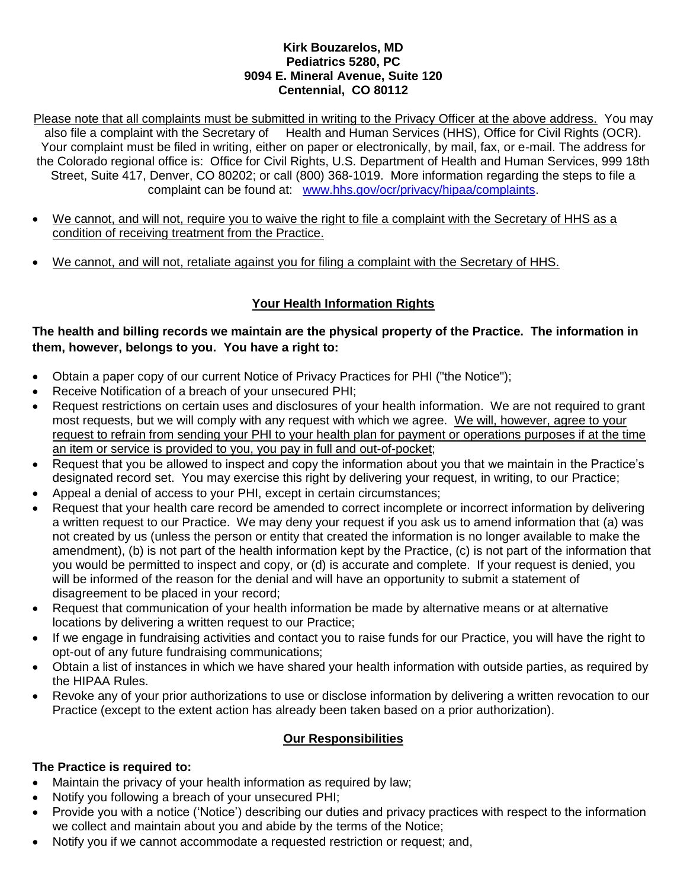#### **Kirk Bouzarelos, MD Pediatrics 5280, PC 9094 E. Mineral Avenue, Suite 120 Centennial, CO 80112**

Please note that all complaints must be submitted in writing to the Privacy Officer at the above address. You may also file a complaint with the Secretary of Health and Human Services (HHS), Office for Civil Rights (OCR). Your complaint must be filed in writing, either on paper or electronically, by mail, fax, or e-mail. The address for the Colorado regional office is: Office for Civil Rights, U.S. Department of Health and Human Services, 999 18th Street, Suite 417, Denver, CO 80202; or call (800) 368-1019. More information regarding the steps to file a complaint can be found at: [www.hhs.gov/ocr/privacy/hipaa/complaints.](http://www.hhs.gov/ocr/privacy/hipaa/complaints)

- We cannot, and will not, require you to waive the right to file a complaint with the Secretary of HHS as a condition of receiving treatment from the Practice.
- We cannot, and will not, retaliate against you for filing a complaint with the Secretary of HHS.

# **Your Health Information Rights**

## **The health and billing records we maintain are the physical property of the Practice. The information in them, however, belongs to you. You have a right to:**

- Obtain a paper copy of our current Notice of Privacy Practices for PHI ("the Notice");
- Receive Notification of a breach of your unsecured PHI;
- Request restrictions on certain uses and disclosures of your health information. We are not required to grant most requests, but we will comply with any request with which we agree. We will, however, agree to your request to refrain from sending your PHI to your health plan for payment or operations purposes if at the time an item or service is provided to you, you pay in full and out-of-pocket;
- Request that you be allowed to inspect and copy the information about you that we maintain in the Practice's designated record set. You may exercise this right by delivering your request, in writing, to our Practice;
- Appeal a denial of access to your PHI, except in certain circumstances;
- Request that your health care record be amended to correct incomplete or incorrect information by delivering a written request to our Practice. We may deny your request if you ask us to amend information that (a) was not created by us (unless the person or entity that created the information is no longer available to make the amendment), (b) is not part of the health information kept by the Practice, (c) is not part of the information that you would be permitted to inspect and copy, or (d) is accurate and complete. If your request is denied, you will be informed of the reason for the denial and will have an opportunity to submit a statement of disagreement to be placed in your record;
- Request that communication of your health information be made by alternative means or at alternative locations by delivering a written request to our Practice;
- If we engage in fundraising activities and contact you to raise funds for our Practice, you will have the right to opt-out of any future fundraising communications;
- Obtain a list of instances in which we have shared your health information with outside parties, as required by the HIPAA Rules.
- Revoke any of your prior authorizations to use or disclose information by delivering a written revocation to our Practice (except to the extent action has already been taken based on a prior authorization).

## **Our Responsibilities**

## **The Practice is required to:**

- Maintain the privacy of your health information as required by law;
- Notify you following a breach of your unsecured PHI;
- Provide you with a notice ('Notice') describing our duties and privacy practices with respect to the information we collect and maintain about you and abide by the terms of the Notice;
- Notify you if we cannot accommodate a requested restriction or request; and,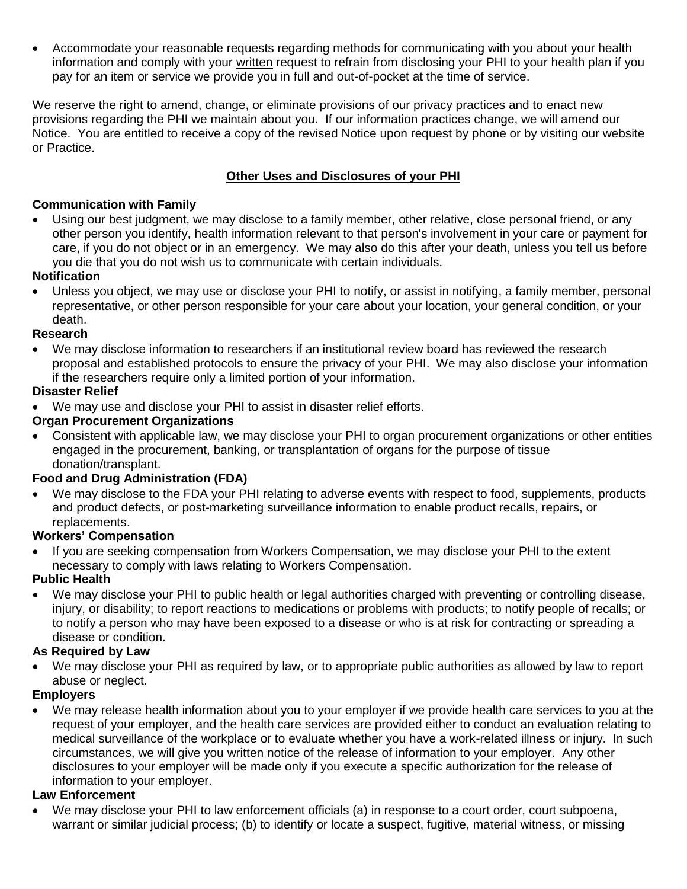Accommodate your reasonable requests regarding methods for communicating with you about your health information and comply with your written request to refrain from disclosing your PHI to your health plan if you pay for an item or service we provide you in full and out-of-pocket at the time of service.

We reserve the right to amend, change, or eliminate provisions of our privacy practices and to enact new provisions regarding the PHI we maintain about you. If our information practices change, we will amend our Notice. You are entitled to receive a copy of the revised Notice upon request by phone or by visiting our website or Practice.

# **Other Uses and Disclosures of your PHI**

## **Communication with Family**

 Using our best judgment, we may disclose to a family member, other relative, close personal friend, or any other person you identify, health information relevant to that person's involvement in your care or payment for care, if you do not object or in an emergency. We may also do this after your death, unless you tell us before you die that you do not wish us to communicate with certain individuals.

## **Notification**

 Unless you object, we may use or disclose your PHI to notify, or assist in notifying, a family member, personal representative, or other person responsible for your care about your location, your general condition, or your death.

#### **Research**

 We may disclose information to researchers if an institutional review board has reviewed the research proposal and established protocols to ensure the privacy of your PHI. We may also disclose your information if the researchers require only a limited portion of your information.

#### **Disaster Relief**

We may use and disclose your PHI to assist in disaster relief efforts.

## **Organ Procurement Organizations**

 Consistent with applicable law, we may disclose your PHI to organ procurement organizations or other entities engaged in the procurement, banking, or transplantation of organs for the purpose of tissue donation/transplant.

## **Food and Drug Administration (FDA)**

 We may disclose to the FDA your PHI relating to adverse events with respect to food, supplements, products and product defects, or post-marketing surveillance information to enable product recalls, repairs, or replacements.

#### **Workers' Compensation**

 If you are seeking compensation from Workers Compensation, we may disclose your PHI to the extent necessary to comply with laws relating to Workers Compensation.

## **Public Health**

 We may disclose your PHI to public health or legal authorities charged with preventing or controlling disease, injury, or disability; to report reactions to medications or problems with products; to notify people of recalls; or to notify a person who may have been exposed to a disease or who is at risk for contracting or spreading a disease or condition.

## **As Required by Law**

 We may disclose your PHI as required by law, or to appropriate public authorities as allowed by law to report abuse or neglect.

## **Employers**

 We may release health information about you to your employer if we provide health care services to you at the request of your employer, and the health care services are provided either to conduct an evaluation relating to medical surveillance of the workplace or to evaluate whether you have a work-related illness or injury. In such circumstances, we will give you written notice of the release of information to your employer. Any other disclosures to your employer will be made only if you execute a specific authorization for the release of information to your employer.

#### **Law Enforcement**

 We may disclose your PHI to law enforcement officials (a) in response to a court order, court subpoena, warrant or similar judicial process; (b) to identify or locate a suspect, fugitive, material witness, or missing